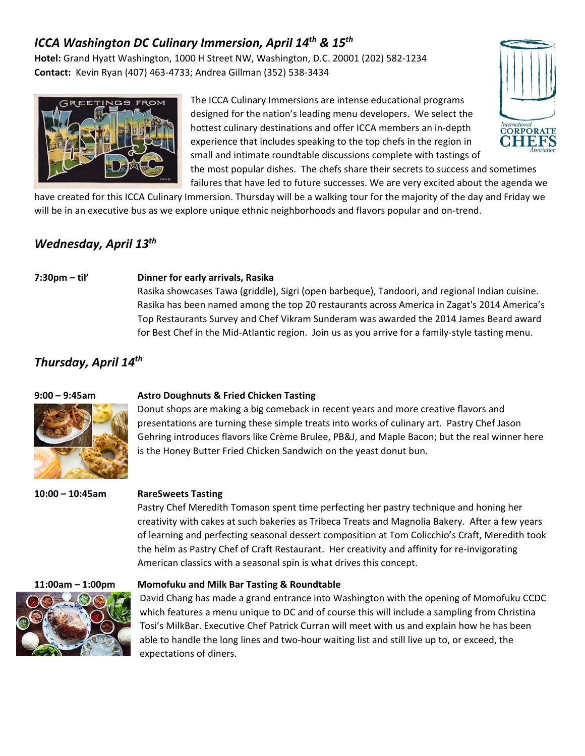# *ICCA Washington DC Culinary Immersion, April 14th & 15th*

**Hotel:** Grand Hyatt Washington, 1000 H Street NW, Washington, D.C. 20001 (202) 582‐1234 **Contact:** Kevin Ryan (407) 463‐4733; Andrea Gillman (352) 538‐3434



The ICCA Culinary Immersions are intense educational programs designed for the nation's leading menu developers. We select the hottest culinary destinations and offer ICCA members an in‐depth experience that includes speaking to the top chefs in the region in small and intimate roundtable discussions complete with tastings of



the most popular dishes. The chefs share their secrets to success and sometimes failures that have led to future successes. We are very excited about the agenda we

have created for this ICCA Culinary Immersion. Thursday will be a walking tour for the majority of the day and Friday we will be in an executive bus as we explore unique ethnic neighborhoods and flavors popular and on-trend.

## *Wednesday, April 13th*

#### **7:30pm – til' Dinner for early arrivals, Rasika**

Rasika showcases Tawa (griddle), Sigri (open barbeque), Tandoori, and regional Indian cuisine. Rasika has been named among the top 20 restaurants across America in Zagat's 2014 America's Top Restaurants Survey and Chef Vikram Sunderam was awarded the 2014 James Beard award for Best Chef in the Mid-Atlantic region. Join us as you arrive for a family-style tasting menu.

## *Thursday, April 14th*



### **9:00 – 9:45am Astro Doughnuts & Fried Chicken Tasting**

Donut shops are making a big comeback in recent years and more creative flavors and presentations are turning these simple treats into works of culinary art. Pastry Chef Jason Gehring introduces flavors like Crème Brulee, PB&J, and Maple Bacon; but the real winner here is the Honey Butter Fried Chicken Sandwich on the yeast donut bun.

### **10:00 – 10:45am RareSweets Tasting**

Pastry Chef Meredith Tomason spent time perfecting her pastry technique and honing her creativity with cakes at such bakeries as Tribeca Treats and Magnolia Bakery. After a few years of learning and perfecting seasonal dessert composition at Tom Colicchio's Craft, Meredith took the helm as Pastry Chef of Craft Restaurant. Her creativity and affinity for re‐invigorating American classics with a seasonal spin is what drives this concept.



### **11:00am – 1:00pm Momofuku and Milk Bar Tasting & Roundtable**

David Chang has made a grand entrance into Washington with the opening of Momofuku CCDC which features a menu unique to DC and of course this will include a sampling from Christina Tosi's MilkBar. Executive Chef Patrick Curran will meet with us and explain how he has been able to handle the long lines and two-hour waiting list and still live up to, or exceed, the expectations of diners.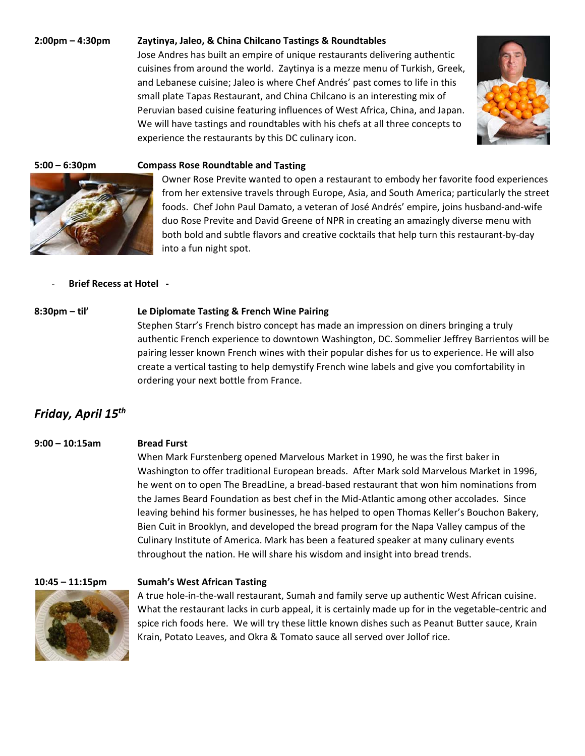#### **2:00pm – 4:30pm Zaytinya, Jaleo, & China Chilcano Tastings & Roundtables**

Jose Andres has built an empire of unique restaurants delivering authentic cuisines from around the world. Zaytinya is a mezze menu of Turkish, Greek, and Lebanese cuisine; Jaleo is where Chef Andrés' past comes to life in this small plate Tapas Restaurant, and China Chilcano is an interesting mix of Peruvian based cuisine featuring influences of West Africa, China, and Japan. We will have tastings and roundtables with his chefs at all three concepts to



#### **5:00 – 6:30pm Compass Rose Roundtable and Tasting**

experience the restaurants by this DC culinary icon.

Owner Rose Previte wanted to open a restaurant to embody her favorite food experiences from her extensive travels through Europe, Asia, and South America; particularly the street foods. Chef John Paul Damato, a veteran of José Andrés' empire, joins husband‐and‐wife duo Rose Previte and David Greene of NPR in creating an amazingly diverse menu with both bold and subtle flavors and creative cocktails that help turn this restaurant‐by‐day into a fun night spot.

#### ‐ **Brief Recess at Hotel ‐**

#### **8:30pm – til' Le Diplomate Tasting & French Wine Pairing**

Stephen Starr's French bistro concept has made an impression on diners bringing a truly authentic French experience to downtown Washington, DC. Sommelier Jeffrey Barrientos will be pairing lesser known French wines with their popular dishes for us to experience. He will also create a vertical tasting to help demystify French wine labels and give you comfortability in ordering your next bottle from France.

## *Friday, April 15th*

#### **9:00 – 10:15am Bread Furst**

## When Mark Furstenberg opened Marvelous Market in 1990, he was the first baker in Washington to offer traditional European breads. After Mark sold Marvelous Market in 1996, he went on to open The BreadLine, a bread-based restaurant that won him nominations from the James Beard Foundation as best chef in the Mid‐Atlantic among other accolades. Since leaving behind his former businesses, he has helped to open Thomas Keller's Bouchon Bakery, Bien Cuit in Brooklyn, and developed the bread program for the Napa Valley campus of the Culinary Institute of America. Mark has been a featured speaker at many culinary events throughout the nation. He will share his wisdom and insight into bread trends.



#### **10:45 – 11:15pm Sumah's West African Tasting**

A true hole‐in‐the‐wall restaurant, Sumah and family serve up authentic West African cuisine. What the restaurant lacks in curb appeal, it is certainly made up for in the vegetable‐centric and spice rich foods here. We will try these little known dishes such as Peanut Butter sauce, Krain Krain, Potato Leaves, and Okra & Tomato sauce all served over Jollof rice.